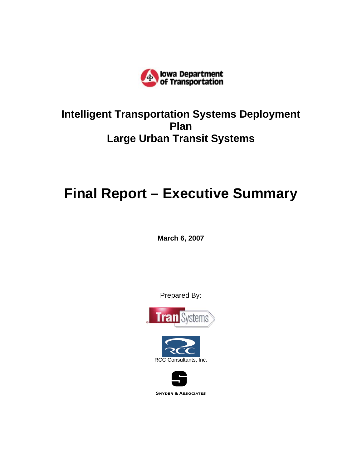

# **Intelligent Transportation Systems Deployment Plan Large Urban Transit Systems**

# **Final Report – Executive Summary**

**March 6, 2007** 

Prepared By:





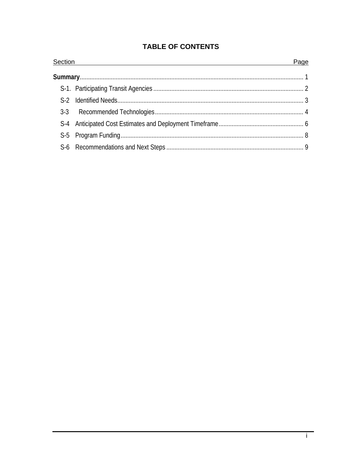# **TABLE OF CONTENTS**

| Section | Page |
|---------|------|
|         |      |
|         |      |
|         |      |
|         |      |
|         |      |
|         |      |
|         |      |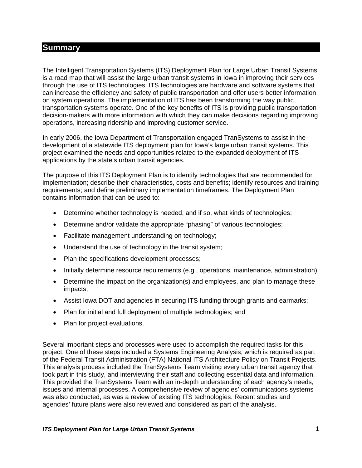# **Summary**

The Intelligent Transportation Systems (ITS) Deployment Plan for Large Urban Transit Systems is a road map that will assist the large urban transit systems in Iowa in improving their services through the use of ITS technologies. ITS technologies are hardware and software systems that can increase the efficiency and safety of public transportation and offer users better information on system operations. The implementation of ITS has been transforming the way public transportation systems operate. One of the key benefits of ITS is providing public transportation decision-makers with more information with which they can make decisions regarding improving operations, increasing ridership and improving customer service.

In early 2006, the Iowa Department of Transportation engaged TranSystems to assist in the development of a statewide ITS deployment plan for Iowa's large urban transit systems. This project examined the needs and opportunities related to the expanded deployment of ITS applications by the state's urban transit agencies.

The purpose of this ITS Deployment Plan is to identify technologies that are recommended for implementation; describe their characteristics, costs and benefits; identify resources and training requirements; and define preliminary implementation timeframes. The Deployment Plan contains information that can be used to:

- Determine whether technology is needed, and if so, what kinds of technologies;
- Determine and/or validate the appropriate "phasing" of various technologies;
- Facilitate management understanding on technology;
- Understand the use of technology in the transit system;
- Plan the specifications development processes;
- Initially determine resource requirements (e.g., operations, maintenance, administration);
- Determine the impact on the organization(s) and employees, and plan to manage these impacts;
- Assist Iowa DOT and agencies in securing ITS funding through grants and earmarks;
- Plan for initial and full deployment of multiple technologies; and
- Plan for project evaluations.

Several important steps and processes were used to accomplish the required tasks for this project. One of these steps included a Systems Engineering Analysis, which is required as part of the Federal Transit Administration (FTA) National ITS Architecture Policy on Transit Projects. This analysis process included the TranSystems Team visiting every urban transit agency that took part in this study, and interviewing their staff and collecting essential data and information. This provided the TranSystems Team with an in-depth understanding of each agency's needs, issues and internal processes. A comprehensive review of agencies' communications systems was also conducted, as was a review of existing ITS technologies. Recent studies and agencies' future plans were also reviewed and considered as part of the analysis.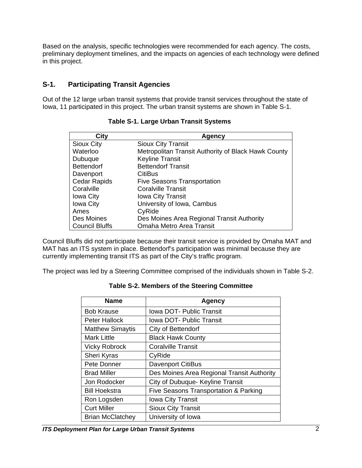Based on the analysis, specific technologies were recommended for each agency. The costs, preliminary deployment timelines, and the impacts on agencies of each technology were defined in this project.

## **S-1. Participating Transit Agencies**

Out of the 12 large urban transit systems that provide transit services throughout the state of Iowa, 11 participated in this project. The urban transit systems are shown in Table S-1.

| City                  | Agency                                              |
|-----------------------|-----------------------------------------------------|
| Sioux City            | <b>Sioux City Transit</b>                           |
| Waterloo              | Metropolitan Transit Authority of Black Hawk County |
| Dubuque               | <b>Keyline Transit</b>                              |
| <b>Bettendorf</b>     | <b>Bettendorf Transit</b>                           |
| Davenport             | <b>CitiBus</b>                                      |
| <b>Cedar Rapids</b>   | <b>Five Seasons Transportation</b>                  |
| Coralville            | <b>Coralville Transit</b>                           |
| <b>Iowa City</b>      | <b>Iowa City Transit</b>                            |
| <b>Iowa City</b>      | University of Iowa, Cambus                          |
| Ames                  | CyRide                                              |
| Des Moines            | Des Moines Area Regional Transit Authority          |
| <b>Council Bluffs</b> | Omaha Metro Area Transit                            |

#### **Table S-1. Large Urban Transit Systems**

Council Bluffs did not participate because their transit service is provided by Omaha MAT and MAT has an ITS system in place. Bettendorf's participation was minimal because they are currently implementing transit ITS as part of the City's traffic program.

The project was led by a Steering Committee comprised of the individuals shown in Table S-2.

| <b>Name</b>             | Agency                                     |  |  |  |  |
|-------------------------|--------------------------------------------|--|--|--|--|
| <b>Bob Krause</b>       | <b>Iowa DOT- Public Transit</b>            |  |  |  |  |
| <b>Peter Hallock</b>    | <b>Iowa DOT- Public Transit</b>            |  |  |  |  |
| <b>Matthew Simaytis</b> | City of Bettendorf                         |  |  |  |  |
| <b>Mark Little</b>      | <b>Black Hawk County</b>                   |  |  |  |  |
| <b>Vicky Robrock</b>    | <b>Coralville Transit</b>                  |  |  |  |  |
| Sheri Kyras             | CyRide                                     |  |  |  |  |
| Pete Donner             | <b>Davenport CitiBus</b>                   |  |  |  |  |
| <b>Brad Miller</b>      | Des Moines Area Regional Transit Authority |  |  |  |  |
| Jon Rodocker            | City of Dubuque- Keyline Transit           |  |  |  |  |
| <b>Bill Hoekstra</b>    | Five Seasons Transportation & Parking      |  |  |  |  |
| Ron Logsden             | <b>Iowa City Transit</b>                   |  |  |  |  |
| <b>Curt Miller</b>      | <b>Sioux City Transit</b>                  |  |  |  |  |
| <b>Brian McClatchey</b> | University of Iowa                         |  |  |  |  |

#### **Table S-2. Members of the Steering Committee**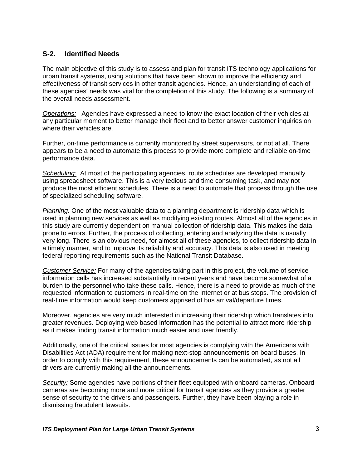#### **S-2. Identified Needs**

The main objective of this study is to assess and plan for transit ITS technology applications for urban transit systems, using solutions that have been shown to improve the efficiency and effectiveness of transit services in other transit agencies. Hence, an understanding of each of these agencies' needs was vital for the completion of this study. The following is a summary of the overall needs assessment.

*Operations:* Agencies have expressed a need to know the exact location of their vehicles at any particular moment to better manage their fleet and to better answer customer inquiries on where their vehicles are.

Further, on-time performance is currently monitored by street supervisors, or not at all. There appears to be a need to automate this process to provide more complete and reliable on-time performance data.

*Scheduling:* At most of the participating agencies, route schedules are developed manually using spreadsheet software. This is a very tedious and time consuming task, and may not produce the most efficient schedules. There is a need to automate that process through the use of specialized scheduling software.

*Planning:* One of the most valuable data to a planning department is ridership data which is used in planning new services as well as modifying existing routes. Almost all of the agencies in this study are currently dependent on manual collection of ridership data. This makes the data prone to errors. Further, the process of collecting, entering and analyzing the data is usually very long. There is an obvious need, for almost all of these agencies, to collect ridership data in a timely manner, and to improve its reliability and accuracy. This data is also used in meeting federal reporting requirements such as the National Transit Database.

*Customer Service:* For many of the agencies taking part in this project, the volume of service information calls has increased substantially in recent years and have become somewhat of a burden to the personnel who take these calls. Hence, there is a need to provide as much of the requested information to customers in real-time on the Internet or at bus stops. The provision of real-time information would keep customers apprised of bus arrival/departure times.

Moreover, agencies are very much interested in increasing their ridership which translates into greater revenues. Deploying web based information has the potential to attract more ridership as it makes finding transit information much easier and user friendly.

Additionally, one of the critical issues for most agencies is complying with the Americans with Disabilities Act (ADA) requirement for making next-stop announcements on board buses. In order to comply with this requirement, these announcements can be automated, as not all drivers are currently making all the announcements.

**Security:** Some agencies have portions of their fleet equipped with onboard cameras. Onboard cameras are becoming more and more critical for transit agencies as they provide a greater sense of security to the drivers and passengers. Further, they have been playing a role in dismissing fraudulent lawsuits.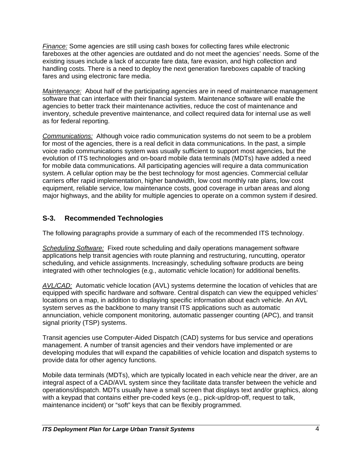*Finance:* Some agencies are still using cash boxes for collecting fares while electronic fareboxes at the other agencies are outdated and do not meet the agencies' needs. Some of the existing issues include a lack of accurate fare data, fare evasion, and high collection and handling costs. There is a need to deploy the next generation fareboxes capable of tracking fares and using electronic fare media.

*Maintenance:* About half of the participating agencies are in need of maintenance management software that can interface with their financial system. Maintenance software will enable the agencies to better track their maintenance activities, reduce the cost of maintenance and inventory, schedule preventive maintenance, and collect required data for internal use as well as for federal reporting.

*Communications:* Although voice radio communication systems do not seem to be a problem for most of the agencies, there is a real deficit in data communications. In the past, a simple voice radio communications system was usually sufficient to support most agencies, but the evolution of ITS technologies and on-board mobile data terminals (MDTs) have added a need for mobile data communications. All participating agencies will require a data communication system. A cellular option may be the best technology for most agencies. Commercial cellular carriers offer rapid implementation, higher bandwidth, low cost monthly rate plans, low cost equipment, reliable service, low maintenance costs, good coverage in urban areas and along major highways, and the ability for multiple agencies to operate on a common system if desired.

# **S-3. Recommended Technologies**

The following paragraphs provide a summary of each of the recommended ITS technology.

*Scheduling Software:* Fixed route scheduling and daily operations management software applications help transit agencies with route planning and restructuring, runcutting, operator scheduling, and vehicle assignments. Increasingly, scheduling software products are being integrated with other technologies (e.g., automatic vehicle location) for additional benefits.

*AVL/CAD:* Automatic vehicle location (AVL) systems determine the location of vehicles that are equipped with specific hardware and software. Central dispatch can view the equipped vehicles' locations on a map, in addition to displaying specific information about each vehicle. An AVL system serves as the backbone to many transit ITS applications such as automatic annunciation, vehicle component monitoring, automatic passenger counting (APC), and transit signal priority (TSP) systems.

Transit agencies use Computer-Aided Dispatch (CAD) systems for bus service and operations management. A number of transit agencies and their vendors have implemented or are developing modules that will expand the capabilities of vehicle location and dispatch systems to provide data for other agency functions.

Mobile data terminals (MDTs), which are typically located in each vehicle near the driver, are an integral aspect of a CAD/AVL system since they facilitate data transfer between the vehicle and operations/dispatch. MDTs usually have a small screen that displays text and/or graphics, along with a keypad that contains either pre-coded keys (e.g., pick-up/drop-off, request to talk, maintenance incident) or "soft" keys that can be flexibly programmed.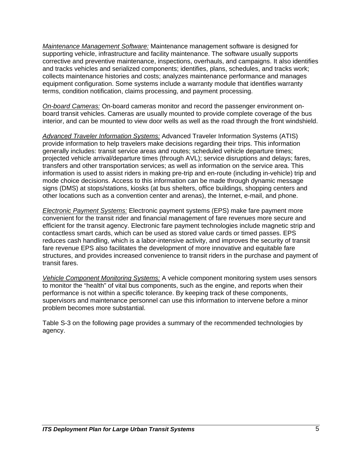*Maintenance Management Software:* Maintenance management software is designed for supporting vehicle, infrastructure and facility maintenance. The software usually supports corrective and preventive maintenance, inspections, overhauls, and campaigns. It also identifies and tracks vehicles and serialized components; identifies, plans, schedules, and tracks work; collects maintenance histories and costs; analyzes maintenance performance and manages equipment configuration. Some systems include a warranty module that identifies warranty terms, condition notification, claims processing, and payment processing.

*On-board Cameras:* On-board cameras monitor and record the passenger environment onboard transit vehicles. Cameras are usually mounted to provide complete coverage of the bus interior, and can be mounted to view door wells as well as the road through the front windshield.

*Advanced Traveler Information Systems:* Advanced Traveler Information Systems (ATIS) provide information to help travelers make decisions regarding their trips. This information generally includes: transit service areas and routes; scheduled vehicle departure times; projected vehicle arrival/departure times (through AVL); service disruptions and delays; fares, transfers and other transportation services; as well as information on the service area. This information is used to assist riders in making pre-trip and en-route (including in-vehicle) trip and mode choice decisions. Access to this information can be made through dynamic message signs (DMS) at stops/stations, kiosks (at bus shelters, office buildings, shopping centers and other locations such as a convention center and arenas), the Internet, e-mail, and phone.

*Electronic Payment Systems:* Electronic payment systems (EPS) make fare payment more convenient for the transit rider and financial management of fare revenues more secure and efficient for the transit agency. Electronic fare payment technologies include magnetic strip and contactless smart cards, which can be used as stored value cards or timed passes. EPS reduces cash handling, which is a labor-intensive activity, and improves the security of transit fare revenue EPS also facilitates the development of more innovative and equitable fare structures, and provides increased convenience to transit riders in the purchase and payment of transit fares.

*Vehicle Component Monitoring Systems:* A vehicle component monitoring system uses sensors to monitor the "health" of vital bus components, such as the engine, and reports when their performance is not within a specific tolerance. By keeping track of these components, supervisors and maintenance personnel can use this information to intervene before a minor problem becomes more substantial.

Table S-3 on the following page provides a summary of the recommended technologies by agency.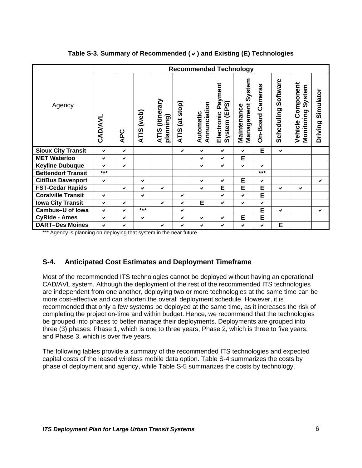|                           | <b>Recommended Technology</b> |     |                      |                                        |                          |                           |                                                 |                                     |                     |                        |                                                  |                      |
|---------------------------|-------------------------------|-----|----------------------|----------------------------------------|--------------------------|---------------------------|-------------------------------------------------|-------------------------------------|---------------------|------------------------|--------------------------------------------------|----------------------|
| Agency                    | <b>CAD/AVL</b>                | APC | (Web)<br><b>ATIS</b> | (itinerary<br>planning)<br><b>ATIS</b> | (at stop)<br><b>ATIS</b> | Annunciation<br>Automatic | Payment<br>(EPS)<br>Electronic<br><b>System</b> | System<br>Management<br>Maintenance | Cameras<br>On-Board | Software<br>Scheduling | omponent<br>System<br>Monitoring<br>ن<br>Vehicle | Simulator<br>Driving |
| <b>Sioux City Transit</b> | $\checkmark$                  | ✔   |                      |                                        | ✔                        | ✔                         | ✔                                               | ✔                                   | E                   | $\checkmark$           |                                                  |                      |
| <b>MET Waterloo</b>       | $\checkmark$                  | ✔   |                      |                                        |                          | ✔                         | ✔                                               | E                                   |                     |                        |                                                  |                      |
| <b>Keyline Dubuque</b>    | ✔                             | ✔   |                      |                                        |                          | ✔                         | $\checkmark$                                    | $\checkmark$                        | $\checkmark$        |                        |                                                  |                      |
| <b>Bettendorf Transit</b> | $***$                         |     |                      |                                        |                          |                           |                                                 |                                     | ***                 |                        |                                                  |                      |
| <b>CitiBus Davenport</b>  | $\checkmark$                  |     | ✔                    |                                        |                          | ✔                         | ✓                                               | E                                   | $\checkmark$        |                        |                                                  | ✔                    |
| <b>FST-Cedar Rapids</b>   |                               | ✔   | $\checkmark$         | ✔                                      |                          | ✔                         | E                                               | E                                   | E                   | ✔                      | $\checkmark$                                     |                      |
| <b>Coralville Transit</b> | ✔                             |     | ✔                    |                                        | ✔                        |                           | ✓                                               | $\checkmark$                        | E                   |                        |                                                  |                      |
| <b>Iowa City Transit</b>  | ✔                             | ✔   |                      | ✔                                      | ✔                        | E                         | ✔                                               | $\checkmark$                        | ✔                   |                        |                                                  |                      |
| <b>Cambus-U of lowa</b>   | $\checkmark$                  | ✔   | $***$                |                                        | ✔                        |                           |                                                 |                                     | E                   | ✔                      |                                                  | ✔                    |
| <b>CyRide - Ames</b>      | ✔                             | ✔   | ✔                    |                                        | ✔                        | ✔                         | ✔                                               | E                                   | E                   |                        |                                                  |                      |
| <b>DART-Des Moines</b>    | ✔                             | ✔   |                      | ✔                                      | ✔                        | ✔                         | ✔                                               | ✔                                   | ✔                   | E                      |                                                  |                      |

**Table S-3. Summary of Recommended (**D**) and Existing (E) Technologies** 

\*\*\* Agency is planning on deploying that system in the near future.

# **S-4. Anticipated Cost Estimates and Deployment Timeframe**

Most of the recommended ITS technologies cannot be deployed without having an operational CAD/AVL system. Although the deployment of the rest of the recommended ITS technologies are independent from one another, deploying two or more technologies at the same time can be more cost-effective and can shorten the overall deployment schedule. However, it is recommended that only a few systems be deployed at the same time, as it increases the risk of completing the project on-time and within budget. Hence, we recommend that the technologies be grouped into phases to better manage their deployments. Deployments are grouped into three (3) phases: Phase 1, which is one to three years; Phase 2, which is three to five years; and Phase 3, which is over five years.

The following tables provide a summary of the recommended ITS technologies and expected capital costs of the leased wireless mobile data option. Table S-4 summarizes the costs by phase of deployment and agency, while Table S-5 summarizes the costs by technology.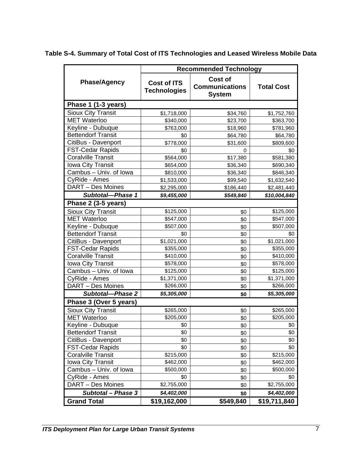|                           | <b>Recommended Technology</b>             |                                                          |                   |  |  |  |  |
|---------------------------|-------------------------------------------|----------------------------------------------------------|-------------------|--|--|--|--|
| <b>Phase/Agency</b>       | <b>Cost of ITS</b><br><b>Technologies</b> | <b>Cost of</b><br><b>Communications</b><br><b>System</b> | <b>Total Cost</b> |  |  |  |  |
| Phase 1 (1-3 years)       |                                           |                                                          |                   |  |  |  |  |
| <b>Sioux City Transit</b> | \$1,718,000                               | \$34,760                                                 | \$1,752,760       |  |  |  |  |
| <b>MET Waterloo</b>       | \$340,000                                 | \$23,700                                                 | \$363,700         |  |  |  |  |
| Keyline - Dubuque         | \$763,000                                 | \$18,960                                                 | \$781,960         |  |  |  |  |
| <b>Bettendorf Transit</b> | \$0                                       | \$64,780                                                 | \$64,780          |  |  |  |  |
| CitiBus - Davenport       | \$778,000                                 | \$31,600                                                 | \$809,600         |  |  |  |  |
| <b>FST-Cedar Rapids</b>   | \$0                                       | 0                                                        | \$0               |  |  |  |  |
| <b>Coralville Transit</b> | \$564,000                                 | \$17,380                                                 | \$581,380         |  |  |  |  |
| <b>Iowa City Transit</b>  | \$654,000                                 | \$36,340                                                 | \$690,340         |  |  |  |  |
| Cambus - Univ. of Iowa    | \$810,000                                 | \$36,340                                                 | \$846,340         |  |  |  |  |
| CyRide - Ames             | \$1,533,000                               | \$99,540                                                 | \$1,632,540       |  |  |  |  |
| DART - Des Moines         | \$2,295,000                               | \$186,440                                                | \$2,481,440       |  |  |  |  |
| Subtotal-Phase 1          | \$9,455,000                               | \$549,840                                                | \$10,004,840      |  |  |  |  |
| Phase 2 (3-5 years)       |                                           |                                                          |                   |  |  |  |  |
| <b>Sioux City Transit</b> | \$125,000                                 | \$0                                                      | \$125,000         |  |  |  |  |
| <b>MET Waterloo</b>       | \$547,000                                 | \$0                                                      | \$547,000         |  |  |  |  |
| Keyline - Dubuque         | \$507,000                                 | \$0                                                      | \$507,000         |  |  |  |  |
| <b>Bettendorf Transit</b> | \$0                                       | \$0                                                      | \$0               |  |  |  |  |
| CitiBus - Davenport       | \$1,021,000                               | \$0                                                      | \$1,021,000       |  |  |  |  |
| <b>FST-Cedar Rapids</b>   | \$355,000                                 | \$0                                                      | \$355,000         |  |  |  |  |
| <b>Coralville Transit</b> | \$410,000                                 | \$0                                                      | \$410,000         |  |  |  |  |
| Iowa City Transit         | \$578,000                                 | \$0                                                      | \$578,000         |  |  |  |  |
| Cambus - Univ. of Iowa    | \$125,000                                 | \$0                                                      | \$125,000         |  |  |  |  |
| CyRide - Ames             | \$1,371,000                               | \$0                                                      | \$1,371,000       |  |  |  |  |
| DART - Des Moines         | \$266,000                                 | \$0                                                      | \$266,000         |  |  |  |  |
| <b>Subtotal-Phase 2</b>   | \$5,305,000                               | \$0                                                      | \$5,305,000       |  |  |  |  |
| Phase 3 (Over 5 years)    |                                           |                                                          |                   |  |  |  |  |
| <b>Sioux City Transit</b> | \$265,000                                 | \$0                                                      | \$265,000         |  |  |  |  |
| <b>MET Waterloo</b>       | \$205,000                                 | \$0                                                      | \$205,000         |  |  |  |  |
| Keyline - Dubuque         | \$0                                       | \$0                                                      | \$0               |  |  |  |  |
| <b>Bettendorf Transit</b> | \$0                                       | \$0                                                      | \$0               |  |  |  |  |
| CitiBus - Davenport       | \$0                                       | \$0                                                      | \$0               |  |  |  |  |
| <b>FST-Cedar Rapids</b>   | \$0                                       | \$0                                                      | \$0               |  |  |  |  |
| <b>Coralville Transit</b> | \$215,000                                 | \$0                                                      | \$215,000         |  |  |  |  |
| <b>Iowa City Transit</b>  | \$462,000                                 | \$0                                                      | \$462,000         |  |  |  |  |
| Cambus - Univ. of Iowa    | \$500,000                                 | \$0                                                      | \$500,000         |  |  |  |  |
| CyRide - Ames             | \$0                                       | \$0                                                      | \$0               |  |  |  |  |
| DART - Des Moines         | \$2,755,000                               | \$0                                                      | \$2,755,000       |  |  |  |  |
| Subtotal - Phase 3        | \$4,402,000                               | \$0                                                      | \$4,402,000       |  |  |  |  |
| <b>Grand Total</b>        | \$19,162,000                              | \$549,840                                                | \$19,711,840      |  |  |  |  |

# **Table S-4. Summary of Total Cost of ITS Technologies and Leased Wireless Mobile Data**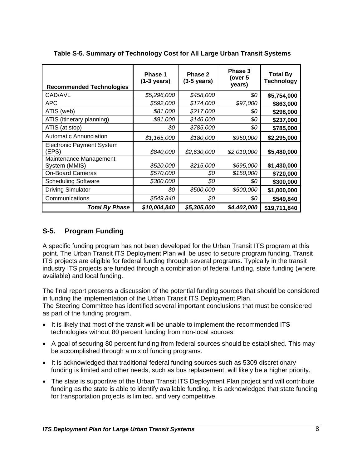| <b>Recommended Technologies</b>           | Phase 1<br>$(1-3 \text{ years})$ | Phase 2<br>$(3-5 \text{ years})$ | Phase 3<br>(over 5<br>years) | <b>Total By</b><br><b>Technology</b> |
|-------------------------------------------|----------------------------------|----------------------------------|------------------------------|--------------------------------------|
| CAD/AVL                                   | \$5,296,000                      | \$458,000                        | \$0                          | \$5,754,000                          |
| <b>APC</b>                                | \$592,000                        | \$174,000                        | \$97,000                     | \$863,000                            |
| ATIS (web)                                | \$81,000                         | \$217,000                        | \$0                          | \$298,000                            |
| ATIS (itinerary planning)                 | \$91,000                         | \$146,000                        | \$0                          | \$237,000                            |
| ATIS (at stop)                            | \$0                              | \$785,000                        | \$0                          | \$785,000                            |
| <b>Automatic Annunciation</b>             | \$1,165,000                      | \$180,000                        | \$950,000                    | \$2,295,000                          |
| <b>Electronic Payment System</b><br>(EPS) | \$840,000                        | \$2,630,000                      | \$2,010,000                  | \$5,480,000                          |
| Maintenance Management<br>System (MMIS)   | \$520,000                        | \$215,000                        | \$695,000                    | \$1,430,000                          |
| <b>On-Board Cameras</b>                   | \$570,000                        | \$0                              | \$150,000                    | \$720,000                            |
| <b>Scheduling Software</b>                | \$300,000                        | \$0                              | \$0                          | \$300,000                            |
| <b>Driving Simulator</b>                  | \$0                              | \$500,000                        | \$500,000                    | \$1,000,000                          |
| Communications                            | \$549,840                        | 80                               | 80                           | \$549,840                            |
| <b>Total By Phase</b>                     | \$10,004,840                     | \$5,305,000                      | \$4,402,000                  | \$19,711,840                         |

**Table S-5. Summary of Technology Cost for All Large Urban Transit Systems** 

#### **S-5. Program Funding**

A specific funding program has not been developed for the Urban Transit ITS program at this point. The Urban Transit ITS Deployment Plan will be used to secure program funding. Transit ITS projects are eligible for federal funding through several programs. Typically in the transit industry ITS projects are funded through a combination of federal funding, state funding (where available) and local funding.

The final report presents a discussion of the potential funding sources that should be considered in funding the implementation of the Urban Transit ITS Deployment Plan. The Steering Committee has identified several important conclusions that must be considered

as part of the funding program.

- It is likely that most of the transit will be unable to implement the recommended ITS technologies without 80 percent funding from non-local sources.
- A goal of securing 80 percent funding from federal sources should be established. This may be accomplished through a mix of funding programs.
- It is acknowledged that traditional federal funding sources such as 5309 discretionary funding is limited and other needs, such as bus replacement, will likely be a higher priority.
- The state is supportive of the Urban Transit ITS Deployment Plan project and will contribute funding as the state is able to identify available funding. It is acknowledged that state funding for transportation projects is limited, and very competitive.